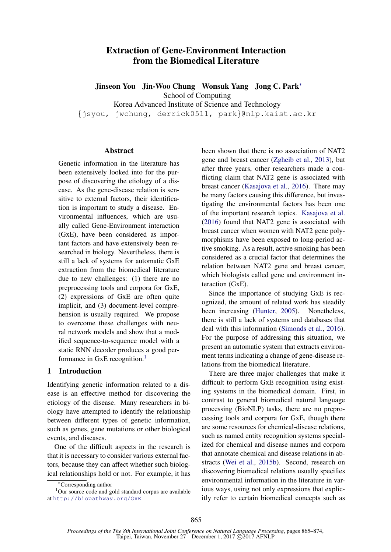# Extraction of Gene-Environment Interaction from the Biomedical Literature

Jinseon You Jin-Woo Chung Wonsuk Yang Jong C. Park<sup>∗</sup> School of Computing

Korea Advanced Institute of Science and Technology

{jsyou, jwchung, derrick0511, park}@nlp.kaist.ac.kr

#### **Abstract**

Genetic information in the literature has been extensively looked into for the purpose of discovering the etiology of a disease. As the gene-disease relation is sensitive to external factors, their identification is important to study a disease. Environmental influences, which are usually called Gene-Environment interaction (GxE), have been considered as important factors and have extensively been researched in biology. Nevertheless, there is still a lack of systems for automatic GxE extraction from the biomedical literature due to new challenges: (1) there are no preprocessing tools and corpora for GxE, (2) expressions of GxE are often quite implicit, and (3) document-level comprehension is usually required. We propose to overcome these challenges with neural network models and show that a modified sequence-to-sequence model with a static RNN decoder produces a good performance in GxE recognition.<sup>1</sup>

#### 1 Introduction

Identifying genetic information related to a disease is an effective method for discovering the etiology of the disease. Many researchers in biology have attempted to identify the relationship between different types of genetic information, such as genes, gene mutations or other biological events, and diseases.

One of the difficult aspects in the research is that it is necessary to consider various external factors, because they can affect whether such biological relationships hold or not. For example, it has been shown that there is no association of NAT2 gene and breast cancer (Zgheib et al., 2013), but after three years, other researchers made a conflicting claim that NAT2 gene is associated with breast cancer (Kasajova et al., 2016). There may be many factors causing this difference, but investigating the environmental factors has been one of the important research topics. Kasajova et al. (2016) found that NAT2 gene is associated with breast cancer when women with NAT2 gene polymorphisms have been exposed to long-period active smoking. As a result, active smoking has been considered as a crucial factor that determines the relation between NAT2 gene and breast cancer, which biologists called gene and environment interaction (GxE).

Since the importance of studying GxE is recognized, the amount of related work has steadily been increasing (Hunter, 2005). Nonetheless, there is still a lack of systems and databases that deal with this information (Simonds et al., 2016). For the purpose of addressing this situation, we present an automatic system that extracts environment terms indicating a change of gene-disease relations from the biomedical literature.

There are three major challenges that make it difficult to perform GxE recognition using existing systems in the biomedical domain. First, in contrast to general biomedical natural language processing (BioNLP) tasks, there are no preprocessing tools and corpora for GxE, though there are some resources for chemical-disease relations, such as named entity recognition systems specialized for chemical and disease names and corpora that annotate chemical and disease relations in abstracts (Wei et al., 2015b). Second, research on discovering biomedical relations usually specifies environmental information in the literature in various ways, using not only expressions that explicitly refer to certain biomedical concepts such as

<sup>∗</sup>Corresponding author

<sup>&</sup>lt;sup>1</sup>Our source code and gold standard corpus are available at http://biopathway.org/GxE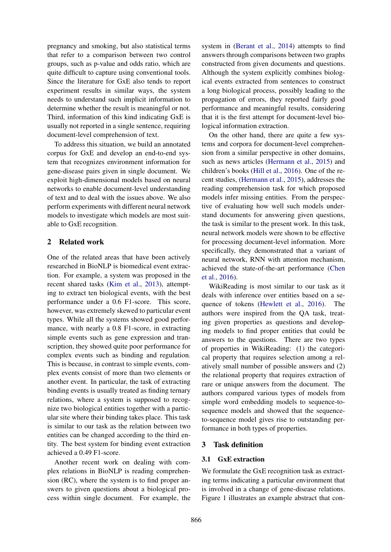pregnancy and smoking, but also statistical terms that refer to a comparison between two control groups, such as p-value and odds ratio, which are quite difficult to capture using conventional tools. Since the literature for GxE also tends to report experiment results in similar ways, the system needs to understand such implicit information to determine whether the result is meaningful or not. Third, information of this kind indicating GxE is usually not reported in a single sentence, requiring document-level comprehension of text.

To address this situation, we build an annotated corpus for GxE and develop an end-to-end system that recognizes environment information for gene-disease pairs given in single document. We exploit high-dimensional models based on neural networks to enable document-level understanding of text and to deal with the issues above. We also perform experiments with different neural network models to investigate which models are most suitable to GxE recognition.

## 2 Related work

One of the related areas that have been actively researched in BioNLP is biomedical event extraction. For example, a system was proposed in the recent shared tasks (Kim et al., 2013), attempting to extract ten biological events, with the best performance under a 0.6 F1-score. This score, however, was extremely skewed to particular event types. While all the systems showed good performance, with nearly a 0.8 F1-score, in extracting simple events such as gene expression and transcription, they showed quite poor performance for complex events such as binding and regulation. This is because, in contrast to simple events, complex events consist of more than two elements or another event. In particular, the task of extracting binding events is usually treated as finding ternary relations, where a system is supposed to recognize two biological entities together with a particular site where their binding takes place. This task is similar to our task as the relation between two entities can be changed according to the third entity. The best system for binding event extraction achieved a 0.49 F1-score.

Another recent work on dealing with complex relations in BioNLP is reading comprehension (RC), where the system is to find proper answers to given questions about a biological process within single document. For example, the

system in (Berant et al., 2014) attempts to find answers through comparisons between two graphs constructed from given documents and questions. Although the system explicitly combines biological events extracted from sentences to construct a long biological process, possibly leading to the propagation of errors, they reported fairly good performance and meaningful results, considering that it is the first attempt for document-level biological information extraction.

On the other hand, there are quite a few systems and corpora for document-level comprehension from a similar perspective in other domains, such as news articles (Hermann et al., 2015) and children's books (Hill et al., 2016). One of the recent studies, (Hermann et al., 2015), addresses the reading comprehension task for which proposed models infer missing entities. From the perspective of evaluating how well such models understand documents for answering given questions, the task is similar to the present work. In this task, neural network models were shown to be effective for processing document-level information. More specifically, they demonstrated that a variant of neural network, RNN with attention mechanism, achieved the state-of-the-art performance (Chen et al., 2016).

WikiReading is most similar to our task as it deals with inference over entities based on a sequence of tokens (Hewlett et al., 2016). The authors were inspired from the QA task, treating given properties as questions and developing models to find proper entities that could be answers to the questions. There are two types of properties in WikiReading: (1) the categorical property that requires selection among a relatively small number of possible answers and (2) the relational property that requires extraction of rare or unique answers from the document. The authors compared various types of models from simple word embedding models to sequence-tosequence models and showed that the sequenceto-sequence model gives rise to outstanding performance in both types of properties.

## 3 Task definition

## 3.1 GxE extraction

We formulate the GxE recognition task as extracting terms indicating a particular environment that is involved in a change of gene-disease relations. Figure 1 illustrates an example abstract that con-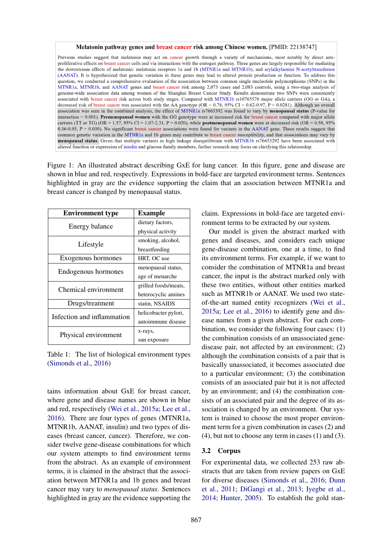#### Melatonin pathway genes and breast cancer risk among Chinese women. [PMID: 22138747]

Previous studies suggest that melatonin may act on cancer growth through a variety of mechanisms, most notably by direct antiproliferative effects on breast cancer cells and via interactions with the estrogen pathway. Three genes are largely responsible for mediating the downstream effects of melatonin: melatonin receptors 1a and 1b (MTNR1a and MTNR1b), and arylalkylamine N-acetyltransferase (AANAT). It is hypothesized that genetic variation in these genes may lead to altered protein production or function. To address this question, we conducted a comprehensive evaluation of the association between common single nucleotide polymorphisms (SNPs) in the MTNR1a, MTNR1b, and AANAT genes and breast cancer risk among 2,073 cases and 2,083 controls, using a two-stage analysis of genome-wide association data among women of the Shanghai Breast Cancer Study. Results demonstrate two SNPs were consistently associated with breast cancer risk across both study stages. Compared with MTNR1b rs10765576 major allele carriers (GG or GA), a decreased risk of breast cancer was associated with the AA genotype (OR = 0.78, 95% CI = 0.62-0.97, P = 0.0281). Although no overall association was seen in the combined analysis, the effect of MTNR1a rs7665392 was found to vary by menopausal status (P-value for interaction = 0.001). Premenopausal women with the GG genotype were at increased risk for breast cancer compared with major allele carriers (TT or TG) (OR = 1.57, 95% CI = 1.07-2.31, P = 0.020), while postmenopausal women were at decreased risk (OR = 0.58, 95%  $0.36-0.95$ ,  $P = 0.030$ ). No significant breast cancer associations were found for variants in the AANAT gene. These results suggest that common genetic variation in the MTNR1a and 1b genes may contribute to breast cancer susceptibility, and that associations may vary by menopausal status. Given that multiple variants in high linkage disequilibrium with MTNR1b rs76653292 have been associated with altered function or expression of insulin and glucose family members, further research may focus on clarifying this relationship.

Figure 1: An illustrated abstract describing GxE for lung cancer. In this figure, gene and disease are shown in blue and red, respectively. Expressions in bold-face are targeted environment terms. Sentences highlighted in gray are the evidence supporting the claim that an association between MTNR1a and breast cancer is changed by menopausal status.

| <b>Environment type</b>    | <b>Example</b>       |
|----------------------------|----------------------|
| Energy balance             | dietary factors,     |
|                            | physical activity    |
| Lifestyle                  | smoking, alcohol,    |
|                            | breastfeeding        |
| Exogenous hormones         | HRT, OC use          |
| Endogenous hormones        | menopausal status,   |
|                            | age of menarche      |
| Chemical environment       | grilled foods/meats, |
|                            | heterocyclic amines  |
| Drugs/treatment            | statin, NSAIDS       |
| Infection and inflammation | helicobacter pylori, |
|                            | autoimmune disease   |
|                            | x-rays,              |
| Physical environment       | sun exposure         |

Table 1: The list of biological environment types (Simonds et al., 2016)

tains information about GxE for breast cancer, where gene and disease names are shown in blue and red, respectively (Wei et al., 2015a; Lee et al., 2016). There are four types of genes (MTNR1a, MTNR1b, AANAT, insulin) and two types of diseases (breast cancer, cancer). Therefore, we consider twelve gene-disease combinations for which our system attempts to find environment terms from the abstract. As an example of environment terms, it is claimed in the abstract that the association between MTNR1a and 1b genes and breast cancer may vary to *menopausal status*. Sentences highlighted in gray are the evidence supporting the claim. Expressions in bold-face are targeted environment terms to be extracted by our system.

Our model is given the abstract marked with genes and diseases, and considers each unique gene-disease combination, one at a time, to find its environment terms. For example, if we want to consider the combination of MTNR1a and breast cancer, the input is the abstract marked only with these two entities, without other entities marked such as MTNR1b or AANAT. We used two stateof-the-art named entity recognizers (Wei et al., 2015a; Lee et al., 2016) to identify gene and disease names from a given abstract. For each combination, we consider the following four cases: (1) the combination consists of an unassociated genedisease pair, not affected by an environment; (2) although the combination consists of a pair that is basically unassociated, it becomes associated due to a particular environment; (3) the combination consists of an associated pair but it is not affected by an environment; and (4) the combination consists of an associated pair and the degree of its association is changed by an environment. Our system is trained to choose the most proper environment term for a given combination in cases (2) and (4), but not to choose any term in cases (1) and (3).

#### 3.2 Corpus

For experimental data, we collected 253 raw abstracts that are taken from review papers on GxE for diverse diseases (Simonds et al., 2016; Dunn et al., 2011; DiGangi et al., 2013; Iyegbe et al., 2014; Hunter, 2005). To establish the gold stan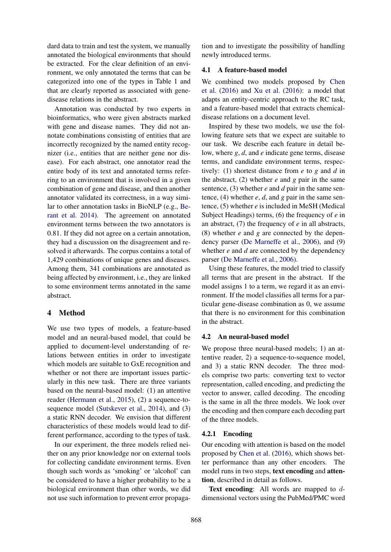dard data to train and test the system, we manually annotated the biological environments that should be extracted. For the clear definition of an environment, we only annotated the terms that can be categorized into one of the types in Table 1 and that are clearly reported as associated with genedisease relations in the abstract.

Annotation was conducted by two experts in bioinformatics, who were given abstracts marked with gene and disease names. They did not annotate combinations consisting of entities that are incorrectly recognized by the named entity recognizer (i.e., entities that are neither gene nor disease). For each abstract, one annotator read the entire body of its text and annotated terms referring to an environment that is involved in a given combination of gene and disease, and then another annotator validated its correctness, in a way similar to other annotation tasks in BioNLP (e.g., Berant et al. 2014). The agreement on annotated environment terms between the two annotators is 0.81. If they did not agree on a certain annotation, they had a discussion on the disagreement and resolved it afterwards. The corpus contains a total of 1,429 combinations of unique genes and diseases. Among them, 341 combinations are annotated as being affected by environment, i.e., they are linked to some environment terms annotated in the same abstract.

## 4 Method

We use two types of models, a feature-based model and an neural-based model, that could be applied to document-level understanding of relations between entities in order to investigate which models are suitable to GxE recognition and whether or not there are important issues particularly in this new task. There are three variants based on the neural-based model: (1) an attentive reader (Hermann et al., 2015), (2) a sequence-tosequence model (Sutskever et al., 2014), and (3) a static RNN decoder. We envision that different characteristics of these models would lead to different performance, according to the types of task.

In our experiment, the three models relied neither on any prior knowledge nor on external tools for collecting candidate environment terms. Even though such words as 'smoking' or 'alcohol' can be considered to have a higher probability to be a biological environment than other words, we did not use such information to prevent error propagation and to investigate the possibility of handling newly introduced terms.

#### 4.1 A feature-based model

We combined two models proposed by Chen et al. (2016) and Xu et al. (2016): a model that adapts an entity-centric approach to the RC task, and a feature-based model that extracts chemicaldisease relations on a document level.

Inspired by these two models, we use the following feature sets that we expect are suitable to our task. We describe each feature in detail below, where *g*, *d*, and *e* indicate gene terms, disease terms, and candidate environment terms, respectively: (1) shortest distance from *e* to *g* and *d* in the abstract, (2) whether *e* and *g* pair in the same sentence, (3) whether *e* and *d* pair in the same sentence, (4) whether *e*, *d*, and *g* pair in the same sentence, (5) whether *e* is included in MeSH (Medical Subject Headings) terms, (6) the frequency of *e* in an abstract, (7) the frequency of *e* in all abstracts, (8) whether *e* and *g* are connected by the dependency parser (De Marneffe et al., 2006), and (9) whether *e* and *d* are connected by the dependency parser (De Marneffe et al., 2006).

Using these features, the model tried to classify all terms that are present in the abstract. If the model assigns 1 to a term, we regard it as an environment. If the model classifies all terms for a particular gene-disease combination as 0, we assume that there is no environment for this combination in the abstract.

### 4.2 An neural-based model

We propose three neural-based models; 1) an attentive reader, 2) a sequence-to-sequence model, and 3) a static RNN decoder. The three models comprise two parts: converting text to vector representation, called encoding, and predicting the vector to answer, called decoding. The encoding is the same in all the three models. We look over the encoding and then compare each decoding part of the three models.

#### 4.2.1 Encoding

Our encoding with attention is based on the model proposed by Chen et al. (2016), which shows better performance than any other encoders. The model runs in two steps, text encoding and attention, described in detail as follows.

**Text encoding:** All words are mapped to  $d$ dimensional vectors using the PubMed/PMC word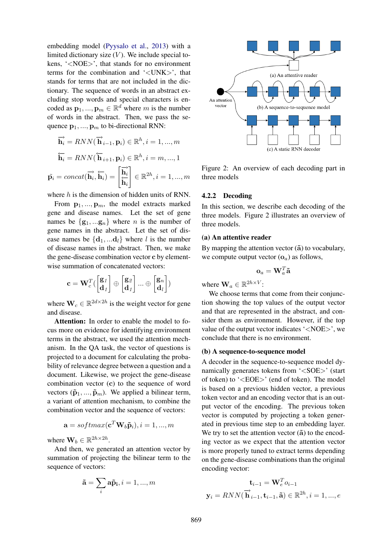embedding model (Pyysalo et al., 2013) with a limited dictionary size  $(V)$ . We include special tokens, '<NOE>', that stands for no environment terms for the combination and '<UNK>', that stands for terms that are not included in the dictionary. The sequence of words in an abstract excluding stop words and special characters is encoded as  $\mathbf{p}_1, ..., \mathbf{p}_m \in \mathbb{R}^d$  where m is the number of words in the abstract. Then, we pass the sequence  $p_1, ..., p_m$  to bi-directional RNN:

$$
\overrightarrow{\mathbf{h}_i} = RNN(\overrightarrow{\mathbf{h}}_{i-1}, \mathbf{p}_i) \in \mathbb{R}^h, i = 1, ..., m
$$

$$
\overleftarrow{\mathbf{h}_i} = RNN(\overleftarrow{\mathbf{h}}_{i+1}, \mathbf{p}_i) \in \mathbb{R}^h, i = m, ..., 1
$$

$$
\tilde{\mathbf{p}_i} = concat(\overrightarrow{\mathbf{h}_i}, \overleftarrow{\mathbf{h}_i}) = \begin{bmatrix} \overrightarrow{\mathbf{h}_i} \\ \overleftarrow{\mathbf{h}_i} \end{bmatrix} \in \mathbb{R}^{2h}, i = 1, ..., m
$$

where  $h$  is the dimension of hidden units of RNN.

From  $\mathbf{p}_1, ..., \mathbf{p}_m$ , the model extracts marked gene and disease names. Let the set of gene names be  $\{g_1, \ldots, g_n\}$  where *n* is the number of gene names in the abstract. Let the set of disease names be  $\{d_1, ... d_l\}$  where l is the number of disease names in the abstract. Then, we make the gene-disease combination vector c by elementwise summation of concatenated vectors:

$$
\mathbf{c} = \mathbf{W}_c^T (\begin{bmatrix} \mathbf{g}_1 \\ \mathbf{d}_1 \end{bmatrix} \oplus \begin{bmatrix} \mathbf{g}_2 \\ \mathbf{d}_1 \end{bmatrix} \dots \oplus \begin{bmatrix} \mathbf{g}_n \\ \mathbf{d}_l \end{bmatrix})
$$

where  $\mathbf{W}_c \in \mathbb{R}^{2d \times 2h}$  is the weight vector for gene and disease.

Attention: In order to enable the model to focus more on evidence for identifying environment terms in the abstract, we used the attention mechanism. In the QA task, the vector of questions is projected to a document for calculating the probability of relevance degree between a question and a document. Likewise, we project the gene-disease combination vector (c) to the sequence of word vectors  $(\tilde{\mathbf{p}}_1, ..., \tilde{\mathbf{p}}_m)$ . We applied a bilinear term, a variant of attention mechanism, to combine the combination vector and the sequence of vectors:

$$
\mathbf{a} = softmax(\mathbf{c}^T \mathbf{W}_b \mathbf{\tilde{p}}_i), i = 1, ..., m
$$

where  $\mathbf{W}_b \in \mathbb{R}^{2h \times 2h}$ .

And then, we generated an attention vector by summation of projecting the bilinear term to the sequence of vectors:

$$
\tilde{\mathbf{a}} = \sum_{i} \mathbf{a} \tilde{\mathbf{p}}_{i}, i = 1, ..., m
$$



Figure 2: An overview of each decoding part in three models

#### 4.2.2 Decoding

In this section, we describe each decoding of the three models. Figure 2 illustrates an overview of three models.

#### (a) An attentive reader

By mapping the attention vector  $(\tilde{a})$  to vocabulary, we compute output vector  $(o_a)$  as follows,

$$
\mathbf{o}_a = \mathbf{W}_a^T \tilde{\mathbf{a}}
$$

where  $\mathbf{W}_a \in \mathbb{R}^{2h \times V}$ :

We choose terms that come from their conjunction showing the top values of the output vector and that are represented in the abstract, and consider them as environment. However, if the top value of the output vector indicates '<NOE>', we conclude that there is no environment.

#### (b) A sequence-to-sequence model

A decoder in the sequence-to-sequence model dynamically generates tokens from '<SOE>' (start of token) to '<EOE>' (end of token). The model is based on a previous hidden vector, a previous token vector and an encoding vector that is an output vector of the encoding. The previous token vector is computed by projecting a token generated in previous time step to an embedding layer. We try to set the attention vector  $(\tilde{a})$  to the encoding vector as we expect that the attention vector is more properly tuned to extract terms depending on the gene-disease combinations than the original encoding vector:

$$
\mathbf{t}_{i-1} = \mathbf{W}_e^T o_{i-1}
$$

$$
\mathbf{y}_i = RNN(\overrightarrow{\mathbf{h}}_{i-1}, \mathbf{t}_{i-1}, \tilde{\mathbf{a}}) \in \mathbb{R}^{2h}, i = 1, ..., e
$$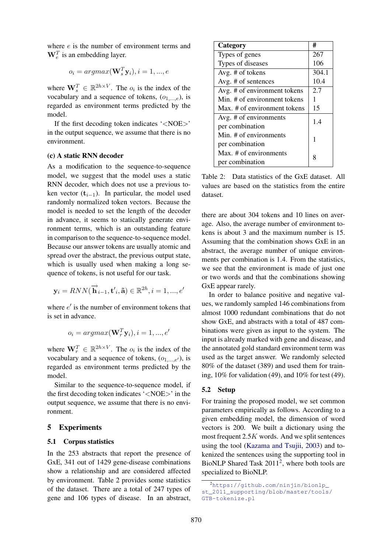where e is the number of environment terms and  $\mathbf{W}_e^T$  is an embedding layer.

$$
o_i = argmax(\mathbf{W}_s^T \mathbf{y}_i), i = 1, ..., e
$$

where  $\mathbf{W}_s^T \in \mathbb{R}^{2h \times V}$ . The  $o_i$  is the index of the vocabulary and a sequence of tokens,  $(o_{1,\ldots,e})$ , is regarded as environment terms predicted by the model.

If the first decoding token indicates '<NOE>' in the output sequence, we assume that there is no environment.

#### (c) A static RNN decoder

As a modification to the sequence-to-sequence model, we suggest that the model uses a static RNN decoder, which does not use a previous token vector  $(t_{i-1})$ . In particular, the model used randomly normalized token vectors. Because the model is needed to set the length of the decoder in advance, it seems to statically generate environment terms, which is an outstanding feature in comparison to the sequence-to-sequence model. Because our answer tokens are usually atomic and spread over the abstract, the previous output state, which is usually used when making a long sequence of tokens, is not useful for our task.

$$
\mathbf{y}_i = RNN(\overrightarrow{\mathbf{h}}_{i-1}, \mathbf{t'}_i, \mathbf{\tilde{a}}) \in \mathbb{R}^{2h}, i = 1, ..., e'
$$

where  $e'$  is the number of environment tokens that is set in advance.

$$
o_i = argmax(\mathbf{W}_r^T \mathbf{y}_i), i = 1, ..., e'
$$

where  $\mathbf{W}_r^T \in \mathbb{R}^{2h \times V}$ . The  $o_i$  is the index of the vocabulary and a sequence of tokens,  $(o_{1,\ldots,e'},)$ , is regarded as environment terms predicted by the model.

Similar to the sequence-to-sequence model, if the first decoding token indicates '<NOE>' in the output sequence, we assume that there is no environment.

#### 5 Experiments

#### 5.1 Corpus statistics

In the 253 abstracts that report the presence of GxE, 341 out of 1429 gene-disease combinations show a relationship and are considered affected by environment. Table 2 provides some statistics of the dataset. There are a total of 247 types of gene and 106 types of disease. In an abstract,

| Category                     | #     |  |
|------------------------------|-------|--|
| Types of genes               | 267   |  |
| Types of diseases            | 106   |  |
| Avg. # of tokens             | 304.1 |  |
| Avg. # of sentences          | 10.4  |  |
| Avg. # of environment tokens | 2.7   |  |
| Min. # of environment tokens | 1     |  |
| Max. # of environment tokens | 15    |  |
| Avg. # of environments       | 1.4   |  |
| per combination              |       |  |
| Min. # of environments       | 1     |  |
| per combination              |       |  |
| Max, # of environments       | 8     |  |
| per combination              |       |  |

Table 2: Data statistics of the GxE dataset. All values are based on the statistics from the entire dataset.

there are about 304 tokens and 10 lines on average. Also, the average number of environment tokens is about 3 and the maximum number is 15. Assuming that the combination shows GxE in an abstract, the average number of unique environments per combination is 1.4. From the statistics, we see that the environment is made of just one or two words and that the combinations showing GxE appear rarely.

In order to balance positive and negative values, we randomly sampled 146 combinations from almost 1000 redundant combinations that do not show GxE, and abstracts with a total of 487 combinations were given as input to the system. The input is already marked with gene and disease, and the annotated gold standard environment term was used as the target answer. We randomly selected 80% of the dataset (389) and used them for training, 10% for validation (49), and 10% for test (49).

### 5.2 Setup

For training the proposed model, we set common parameters empirically as follows. According to a given embedding model, the dimension of word vectors is 200. We built a dictionary using the most frequent 2.5K words. And we split sentences using the tool (Kazama and Tsujii, 2003) and tokenized the sentences using the supporting tool in BioNLP Shared Task  $2011^2$ , where both tools are specialized to BioNLP.

<sup>2</sup>https://github.com/ninjin/bionlp\_ st\_2011\_supporting/blob/master/tools/ GTB-tokenize.pl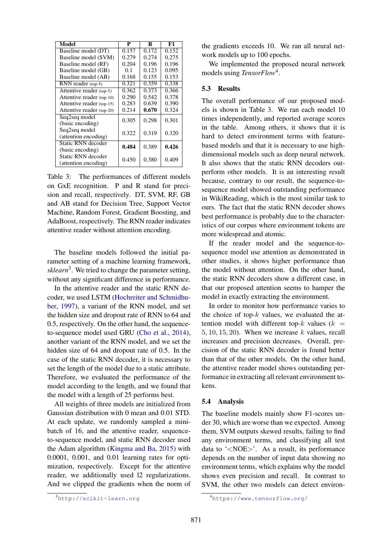| Model                                      | P     | R     | F1    |
|--------------------------------------------|-------|-------|-------|
| Baseline model (DT)                        | 0.157 | 0.172 | 0.152 |
| Baseline model (SVM)                       | 0.279 | 0.274 | 0.275 |
| Baseline model (RF)                        | 0.204 | 0.196 | 0.196 |
| Baseline model (GB)                        | 0.1   | 0.123 | 0.095 |
| Baseline model (AB)                        | 0.168 | 0.155 | 0.153 |
| $RNN$ reader (top-5)                       | 0.321 | 0.359 | 0.338 |
| Attentive reader (top-5)                   | 0.362 | 0.373 | 0.366 |
| Attentive reader (top-10)                  | 0.290 | 0.542 | 0.378 |
| Attentive reader (top-15)                  | 0.283 | 0.639 | 0.390 |
| Attentive reader (top-20)                  | 0.214 | 0.670 | 0.324 |
| Seq2seq model<br>(basic encoding)          | 0.305 | 0.298 | 0.301 |
| Seq2seq model<br>(attention encoding)      | 0.322 | 0.319 | 0.320 |
| Static RNN decoder<br>(basic encoding)     | 0.484 | 0.389 | 0.426 |
| Static RNN decoder<br>(attention encoding) | 0.450 | 0.380 | 0.409 |

Table 3: The performances of different models on GxE recognition. P and R stand for precision and recall, respectively. DT, SVM, RF, GB and AB stand for Decision Tree, Support Vector Machine, Random Forest, Gradient Boosting, and AdaBoost, respectively. The RNN reader indicates attentive reader without attention encoding.

The baseline models followed the initial parameter setting of a machine learning framework, *sklearn*<sup>3</sup> . We tried to change the parameter setting, without any significant difference in performance.

In the attentive reader and the static RNN decoder, we used LSTM (Hochreiter and Schmidhuber, 1997), a variant of the RNN model, and set the hidden size and dropout rate of RNN to 64 and 0.5, respectively. On the other hand, the sequenceto-sequence model used GRU (Cho et al., 2014), another variant of the RNN model, and we set the hidden size of 64 and dropout rate of 0.5. In the case of the static RNN decoder, it is necessary to set the length of the model due to a static attribute. Therefore, we evaluated the performance of the model according to the length, and we found that the model with a length of 25 performs best.

All weights of three models are initialized from Gaussian distribution with 0 mean and 0.01 STD. At each update, we randomly sampled a minibatch of 16, and the attentive reader, sequenceto-sequence model, and static RNN decoder used the Adam algorithm (Kingma and Ba, 2015) with 0.0001, 0.001, and 0.01 learning rates for optimization, respectively. Except for the attentive reader, we additionally used l2 regularizations. And we clipped the gradients when the norm of the gradients exceeds 10. We ran all neural network models up to 100 epochs.

We implemented the proposed neural network models using *TensorFlow*<sup>4</sup> .

#### 5.3 Results

The overall performance of our proposed models is shown in Table 3. We ran each model 10 times independently, and reported average scores in the table. Among others, it shows that it is hard to detect environment terms with featurebased models and that it is necessary to use highdimensional models such as deep neural network. It also shows that the static RNN decoders outperform other models. It is an interesting result because, contrary to our result, the sequence-tosequence model showed outstanding performance in WikiReading, which is the most similar task to ours. The fact that the static RNN decoder shows best performance is probably due to the characteristics of our corpus where environment tokens are more widespread and atomic.

If the reader model and the sequence-tosequence model use attention as demonstrated in other studies, it shows higher performance than the model without attention. On the other hand, the static RNN decoders show a different case, in that our proposed attention seems to hamper the model in exactly extracting the environment.

In order to monitor how performance varies to the choice of top- $k$  values, we evaluated the attention model with different top- $k$  values ( $k =$  $5, 10, 15, 20$ ). When we increase k values, recall increases and precision decreases. Overall, precision of the static RNN decoder is found better than that of the other models. On the other hand, the attentive reader model shows outstanding performance in extracting all relevant environment tokens.

#### 5.4 Analysis

The baseline models mainly show F1-scores under 30, which are worse than we expected. Among them, SVM outputs skewed results, failing to find any environment terms, and classifying all test data to '<NOE>'. As a result, its performance depends on the number of input data showing no environment terms, which explains why the model shows even precision and recall. In contrast to SVM, the other two models can detect environ-

<sup>3</sup>http://scikit-learn.org

<sup>4</sup>https://www.tensorflow.org/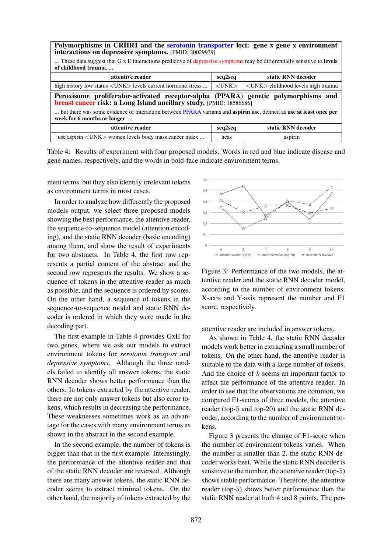| Polymorphisms in CRHR1 and the serotonin transporter loci: gene x gene x environment<br>interactions on depressive symptoms. [PMID: 20029939]                     |             |                                                      |  |  |
|-------------------------------------------------------------------------------------------------------------------------------------------------------------------|-------------|------------------------------------------------------|--|--|
| These data suggest that G x E interactions predictive of depressive symptoms may be differentially sensitive to levels<br>of childhood trauma                     |             |                                                      |  |  |
| attentive reader                                                                                                                                                  | seq2seq     | static RNN decoder                                   |  |  |
| high history low status $\langle$ UNK $\rangle$ levels current hormone stress                                                                                     | $<$ UNK $>$ | $\langle$ UNK $\rangle$ childhood levels high trauma |  |  |
| Peroxisome proliferator-activated receptor-alpha (PPARA) genetic polymorphisms and<br>breast cancer risk: a Long Island ancillary study. [PMID: 18586686]         |             |                                                      |  |  |
| but there was some evidence of interaction between PPARA variants and <b>aspirin use</b> , defined as <b>use at least once per</b><br>week for 6 months or longer |             |                                                      |  |  |
| attentive reader                                                                                                                                                  | seq2seq     | static RNN decoder                                   |  |  |
|                                                                                                                                                                   |             |                                                      |  |  |

Table 4: Results of experiment with four proposed models. Words in red and blue indicate disease and gene names, respectively, and the words in bold-face indicate environment terms.

ment terms, but they also identify irrelevant tokens as environment terms in most cases.

In order to analyze how differently the proposed models output, we select three proposed models showing the best performance, the attentive reader, the sequence-to-sequence model (attention encoding), and the static RNN decoder (basic encoding) among them, and show the result of experiments for two abstracts. In Table 4, the first row represents a partial content of the abstract and the second row represents the results. We show a sequence of tokens in the attentive reader as much as possible, and the sequence is ordered by scores. On the other hand, a sequence of tokens in the sequence-to-sequence model and static RNN decoder is ordered in which they were made in the decoding part.

The first example in Table 4 provides GxE for two genes, where we ask our models to extract environment tokens for *serotonin transport* and *depressive symptoms*. Although the three models failed to identify all answer tokens, the static RNN decoder shows better performance than the others. In tokens extracted by the attentive reader, there are not only answer tokens but also error tokens, which results in decreasing the performance. These weaknesses sometimes work as an advantage for the cases with many environment terms as shown in the abstract in the second example.

In the second example, the number of tokens is bigger than that in the first example. Interestingly, the performance of the attentive reader and that of the static RNN decoder are reversed. Although there are many answer tokens, the static RNN decoder seems to extract minimal tokens. On the other hand, the majority of tokens extracted by the



Figure 3: Performance of the two models, the attentive reader and the static RNN decoder model, according to the number of environment tokens. X-axis and Y-axis represent the number and F1 score, respectively.

attentive reader are included in answer tokens.

As shown in Table 4, the static RNN decoder models work better in extracting a small number of tokens. On the other hand, the attentive reader is suitable to the data with a large number of tokens. And the choice of  $k$  seems an important factor to affect the performance of the attentive reader. In order to see that the observations are common, we compared F1-scores of three models, the attentive reader (top-5 and top-20) and the static RNN decoder, according to the number of environment tokens.

Figure 3 presents the change of F1-score when the number of environment tokens varies. When the number is smaller than 2, the static RNN decoder works best. While the static RNN decoder is sensitive to the number, the attentive reader (top-5) shows stable performance. Therefore, the attentive reader (top-5) shows better performance than the static RNN reader at both 4 and 8 points. The per-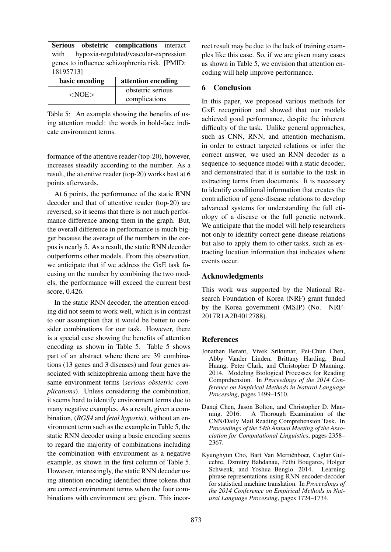|                                               | Serious obstetric complications interact |  |
|-----------------------------------------------|------------------------------------------|--|
| hypoxia-regulated/vascular-expression<br>with |                                          |  |
| genes to influence schizophrenia risk. [PMID: |                                          |  |
| 181957131                                     |                                          |  |
| basic encoding                                | attention encoding                       |  |
|                                               |                                          |  |
| $<$ NOE $>$                                   | obstetric serious                        |  |

Table 5: An example showing the benefits of using attention model: the words in bold-face indicate environment terms.

formance of the attentive reader (top-20), however, increases steadily according to the number. As a result, the attentive reader (top-20) works best at 6 points afterwards.

At 6 points, the performance of the static RNN decoder and that of attentive reader (top-20) are reversed, so it seems that there is not much performance difference among them in the graph. But, the overall difference in performance is much bigger because the average of the numbers in the corpus is nearly 5. As a result, the static RNN decoder outperforms other models. From this observation, we anticipate that if we address the GxE task focusing on the number by combining the two models, the performance will exceed the current best score, 0.426.

In the static RNN decoder, the attention encoding did not seem to work well, which is in contrast to our assumption that it would be better to consider combinations for our task. However, there is a special case showing the benefits of attention encoding as shown in Table 5. Table 5 shows part of an abstract where there are 39 combinations (13 genes and 3 diseases) and four genes associated with schizophrenia among them have the same environment terms (*serious obstetric complications*). Unless considering the combination, it seems hard to identify environment terms due to many negative examples. As a result, given a combination, (*RGS4* and *fetal hypoxia*), without an environment term such as the example in Table 5, the static RNN decoder using a basic encoding seems to regard the majority of combinations including the combination with environment as a negative example, as shown in the first column of Table 5. However, interestingly, the static RNN decoder using attention encoding identified three tokens that are correct environment terms when the four combinations with environment are given. This incorrect result may be due to the lack of training examples like this case. So, if we are given many cases as shown in Table 5, we envision that attention encoding will help improve performance.

## 6 Conclusion

In this paper, we proposed various methods for GxE recognition and showed that our models achieved good performance, despite the inherent difficulty of the task. Unlike general approaches, such as CNN, RNN, and attention mechanism, in order to extract targeted relations or infer the correct answer, we used an RNN decoder as a sequence-to-sequence model with a static decoder, and demonstrated that it is suitable to the task in extracting terms from documents. It is necessary to identify conditional information that creates the contradiction of gene-disease relations to develop advanced systems for understanding the full etiology of a disease or the full genetic network. We anticipate that the model will help researchers not only to identify correct gene-disease relations but also to apply them to other tasks, such as extracting location information that indicates where events occur.

### Acknowledgments

This work was supported by the National Research Foundation of Korea (NRF) grant funded by the Korea government (MSIP) (No. NRF-2017R1A2B4012788).

#### **References**

- Jonathan Berant, Vivek Srikumar, Pei-Chun Chen, Abby Vander Linden, Brittany Harding, Brad Huang, Peter Clark, and Christopher D Manning. 2014. Modeling Biological Processes for Reading Comprehension. In *Proceedings of the 2014 Conference on Empirical Methods in Natural Language Processing*, pages 1499–1510.
- Danqi Chen, Jason Bolton, and Christopher D. Manning. 2016. A Thorough Examination of the CNN/Daily Mail Reading Comprehension Task. In *Proceedings of the 54th Annual Meeting of the Association for Computational Linguistics*, pages 2358– 2367.
- Kyunghyun Cho, Bart Van Merriënboer, Caglar Gulcehre, Dzmitry Bahdanau, Fethi Bougares, Holger Schwenk, and Yoshua Bengio. 2014. Learning phrase representations using RNN encoder-decoder for statistical machine translation. In *Proceedings of the 2014 Conference on Empirical Methods in Natural Language Processing*, pages 1724–1734.